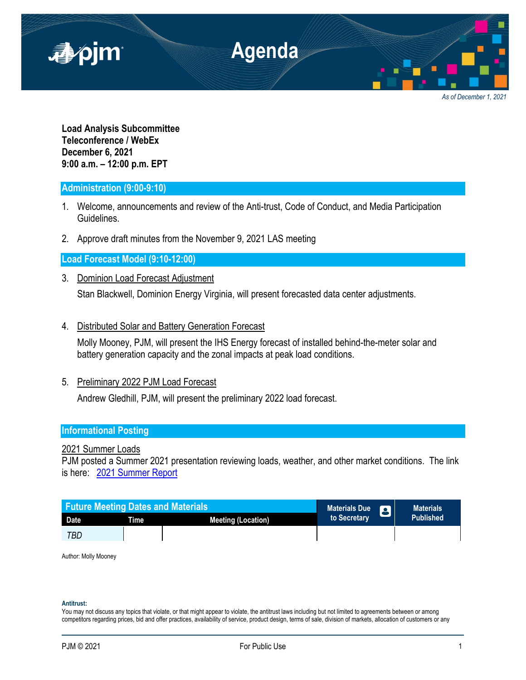

**Load Analysis Subcommittee Teleconference / WebEx December 6, 2021 9:00 a.m. – 12:00 p.m. EPT**

## **Administration (9:00-9:10)**

- 1. Welcome, announcements and review of the Anti-trust, Code of Conduct, and Media Participation Guidelines.
- 2. Approve draft minutes from the November 9, 2021 LAS meeting

**Load Forecast Model (9:10-12:00)**

- 3. Dominion Load Forecast Adjustment Stan Blackwell, Dominion Energy Virginia, will present forecasted data center adjustments.
- 4. Distributed Solar and Battery Generation Forecast

Molly Mooney, PJM, will present the IHS Energy forecast of installed behind-the-meter solar and battery generation capacity and the zonal impacts at peak load conditions.

5. Preliminary 2022 PJM Load Forecast

Andrew Gledhill, PJM, will present the preliminary 2022 load forecast.

## **Informational Posting**

# 2021 Summer Loads

PJM posted a Summer 2021 presentation reviewing loads, weather, and other market conditions. The link is here: [2021 Summer Report](https://www.pjm.com/-/media/committees-groups/committees/oc/2021/20211007/20211007-item-18-pjm-summer-operations.ashx)



Author: Molly Mooney

**Antitrust:**

You may not discuss any topics that violate, or that might appear to violate, the antitrust laws including but not limited to agreements between or among competitors regarding prices, bid and offer practices, availability of service, product design, terms of sale, division of markets, allocation of customers or any